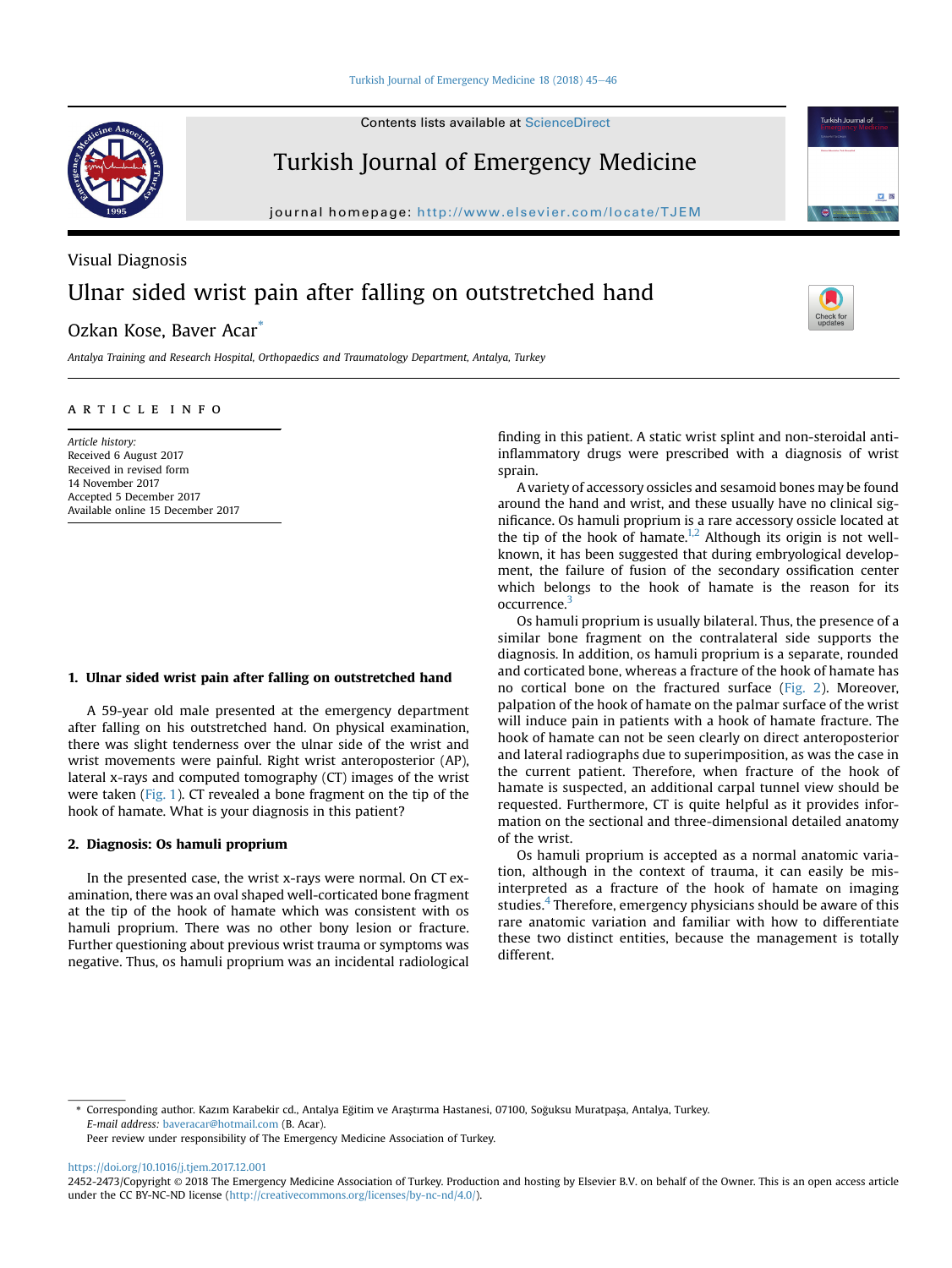Contents lists available at ScienceDirect

## Turkish Journal of Emergency Medicine

journal homepage: <http://www.elsevier.com/locate/TJEM>

# Visual Diagnosis Ulnar sided wrist pain after falling on outstretched hand

### Ozkan Kose, Baver Acar\*

Antalya Training and Research Hospital, Orthopaedics and Traumatology Department, Antalya, Turkey

#### article info

Article history: Received 6 August 2017 Received in revised form 14 November 2017 Accepted 5 December 2017 Available online 15 December 2017

#### 1. Ulnar sided wrist pain after falling on outstretched hand

A 59-year old male presented at the emergency department after falling on his outstretched hand. On physical examination, there was slight tenderness over the ulnar side of the wrist and wrist movements were painful. Right wrist anteroposterior (AP), lateral x-rays and computed tomography (CT) images of the wrist were taken ([Fig. 1\)](#page-1-0). CT revealed a bone fragment on the tip of the hook of hamate. What is your diagnosis in this patient?

#### 2. Diagnosis: Os hamuli proprium

In the presented case, the wrist x-rays were normal. On CT examination, there was an oval shaped well-corticated bone fragment at the tip of the hook of hamate which was consistent with os hamuli proprium. There was no other bony lesion or fracture. Further questioning about previous wrist trauma or symptoms was negative. Thus, os hamuli proprium was an incidental radiological finding in this patient. A static wrist splint and non-steroidal antiinflammatory drugs were prescribed with a diagnosis of wrist sprain.

A variety of accessory ossicles and sesamoid bones may be found around the hand and wrist, and these usually have no clinical significance. Os hamuli proprium is a rare accessory ossicle located at the tip of the hook of hamate.<sup>1,2</sup> Although its origin is not wellknown, it has been suggested that during embryological development, the failure of fusion of the secondary ossification center which belongs to the hook of hamate is the reason for its occurrence.[3](#page-1-0)

Os hamuli proprium is usually bilateral. Thus, the presence of a similar bone fragment on the contralateral side supports the diagnosis. In addition, os hamuli proprium is a separate, rounded and corticated bone, whereas a fracture of the hook of hamate has no cortical bone on the fractured surface ([Fig. 2\)](#page-1-0). Moreover, palpation of the hook of hamate on the palmar surface of the wrist will induce pain in patients with a hook of hamate fracture. The hook of hamate can not be seen clearly on direct anteroposterior and lateral radiographs due to superimposition, as was the case in the current patient. Therefore, when fracture of the hook of hamate is suspected, an additional carpal tunnel view should be requested. Furthermore, CT is quite helpful as it provides information on the sectional and three-dimensional detailed anatomy of the wrist.

Os hamuli proprium is accepted as a normal anatomic variation, although in the context of trauma, it can easily be misinterpreted as a fracture of the hook of hamate on imaging studies.<sup>[4](#page-1-0)</sup> Therefore, emergency physicians should be aware of this rare anatomic variation and familiar with how to differentiate these two distinct entities, because the management is totally different.

Peer review under responsibility of The Emergency Medicine Association of Turkey.

<https://doi.org/10.1016/j.tjem.2017.12.001>





Turkish Journal of

**v** 88

<sup>\*</sup> Corresponding author. Kazım Karabekir cd., Antalya Eğitim ve Araştırma Hastanesi, 07100, Soğuksu Muratpaşa, Antalya, Turkey. E-mail address: [baveracar@hotmail.com](mailto:baveracar@hotmail.com) (B. Acar).

<sup>2452-2473/</sup>Copyright © 2018 The Emergency Medicine Association of Turkey. Production and hosting by Elsevier B.V. on behalf of the Owner. This is an open access article under the CC BY-NC-ND license ([http://creativecommons.org/licenses/by-nc-nd/4.0/\)](http://creativecommons.org/licenses/by-nc-nd/4.0/).